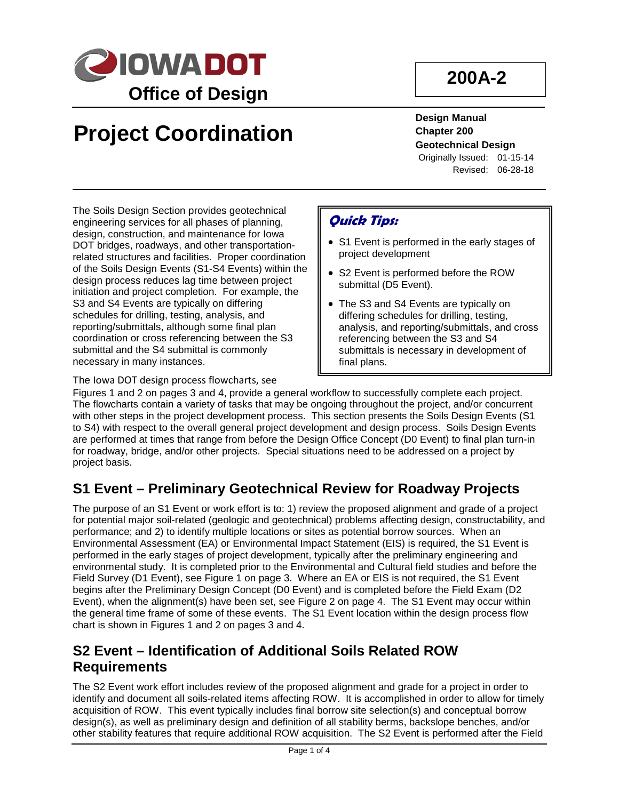

## **200A-2**

# **Project Coordination**

**Design Manual Chapter 200 Geotechnical Design** Originally Issued: 01-15-14 Revised: 06-28-18

The Soils Design Section provides geotechnical engineering services for all phases of planning, design, construction, and maintenance for Iowa DOT bridges, roadways, and other transportationrelated structures and facilities. Proper coordination of the Soils Design Events (S1-S4 Events) within the design process reduces lag time between project initiation and project completion. For example, the S3 and S4 Events are typically on differing schedules for drilling, testing, analysis, and reporting/submittals, although some final plan coordination or cross referencing between the S3 submittal and the S4 submittal is commonly necessary in many instances.

The [Iowa DOT design process flowcharts](http://www.iowadot.gov/design/dmanual/01D-01.pdf), see

#### **Quick Tips:**

- S1 Event is performed in the early stages of project development
- S2 Event is performed before the ROW submittal (D5 Event).
- The S3 and S4 Events are typically on differing schedules for drilling, testing, analysis, and reporting/submittals, and cross referencing between the S3 and S4 submittals is necessary in development of final plans.

Figures 1 and 2 on pages 3 and 4, provide a general workflow to successfully complete each project. The flowcharts contain a variety of tasks that may be ongoing throughout the project, and/or concurrent with other steps in the project development process. This section presents the Soils Design Events (S1 to S4) with respect to the overall general project development and design process. Soils Design Events are performed at times that range from before the Design Office Concept (D0 Event) to final plan turn-in for roadway, bridge, and/or other projects. Special situations need to be addressed on a project by project basis.

#### **S1 Event – Preliminary Geotechnical Review for Roadway Projects**

The purpose of an S1 Event or work effort is to: 1) review the proposed alignment and grade of a project for potential major soil-related (geologic and geotechnical) problems affecting design, constructability, and performance; and 2) to identify multiple locations or sites as potential borrow sources. When an Environmental Assessment (EA) or Environmental Impact Statement (EIS) is required, the S1 Event is performed in the early stages of project development, typically after the preliminary engineering and environmental study. It is completed prior to the Environmental and Cultural field studies and before the Field Survey (D1 Event), see Figure 1 on page 3. Where an EA or EIS is not required, the S1 Event begins after the Preliminary Design Concept (D0 Event) and is completed before the Field Exam (D2 Event), when the alignment(s) have been set, see Figure 2 on page 4. The S1 Event may occur within the general time frame of some of these events. The S1 Event location within the design process flow chart is shown in Figures 1 and 2 on pages 3 and 4.

#### **S2 Event – Identification of Additional Soils Related ROW Requirements**

The S2 Event work effort includes review of the proposed alignment and grade for a project in order to identify and document all soils-related items affecting ROW. It is accomplished in order to allow for timely acquisition of ROW. This event typically includes final borrow site selection(s) and conceptual borrow design(s), as well as preliminary design and definition of all stability berms, backslope benches, and/or other stability features that require additional ROW acquisition. The S2 Event is performed after the Field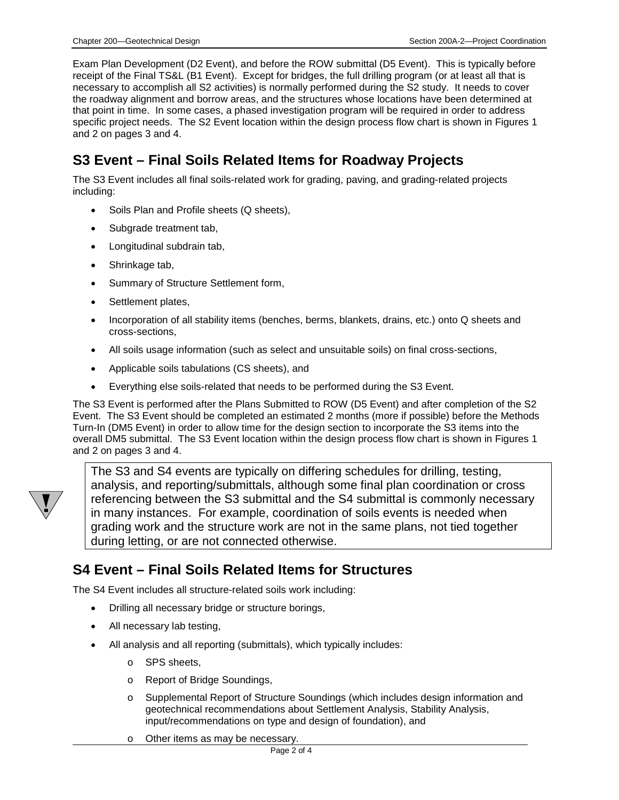Exam Plan Development (D2 Event), and before the ROW submittal (D5 Event). This is typically before receipt of the Final TS&L (B1 Event). Except for bridges, the full drilling program (or at least all that is necessary to accomplish all S2 activities) is normally performed during the S2 study. It needs to cover the roadway alignment and borrow areas, and the structures whose locations have been determined at that point in time. In some cases, a phased investigation program will be required in order to address specific project needs. The S2 Event location within the design process flow chart is shown in Figures 1 and 2 on pages 3 and 4.

#### **S3 Event – Final Soils Related Items for Roadway Projects**

The S3 Event includes all final soils-related work for grading, paving, and grading-related projects including:

- Soils Plan and Profile sheets (Q sheets),
- Subgrade treatment tab,
- Longitudinal subdrain tab,
- Shrinkage tab,
- Summary of Structure Settlement form,
- Settlement plates,
- Incorporation of all stability items (benches, berms, blankets, drains, etc.) onto Q sheets and cross-sections,
- All soils usage information (such as select and unsuitable soils) on final cross-sections,
- Applicable soils tabulations (CS sheets), and
- Everything else soils-related that needs to be performed during the S3 Event.

The S3 Event is performed after the Plans Submitted to ROW (D5 Event) and after completion of the S2 Event. The S3 Event should be completed an estimated 2 months (more if possible) before the Methods Turn-In (DM5 Event) in order to allow time for the design section to incorporate the S3 items into the overall DM5 submittal. The S3 Event location within the design process flow chart is shown in Figures 1 and 2 on pages 3 and 4.



The S3 and S4 events are typically on differing schedules for drilling, testing, analysis, and reporting/submittals, although some final plan coordination or cross referencing between the S3 submittal and the S4 submittal is commonly necessary in many instances. For example, coordination of soils events is needed when grading work and the structure work are not in the same plans, not tied together during letting, or are not connected otherwise.

#### **S4 Event – Final Soils Related Items for Structures**

The S4 Event includes all structure-related soils work including:

- Drilling all necessary bridge or structure borings,
- All necessary lab testing,
- All analysis and all reporting (submittals), which typically includes:
	- o SPS sheets,
	- o Report of Bridge Soundings,
	- o Supplemental Report of Structure Soundings (which includes design information and geotechnical recommendations about Settlement Analysis, Stability Analysis, input/recommendations on type and design of foundation), and
	- o Other items as may be necessary.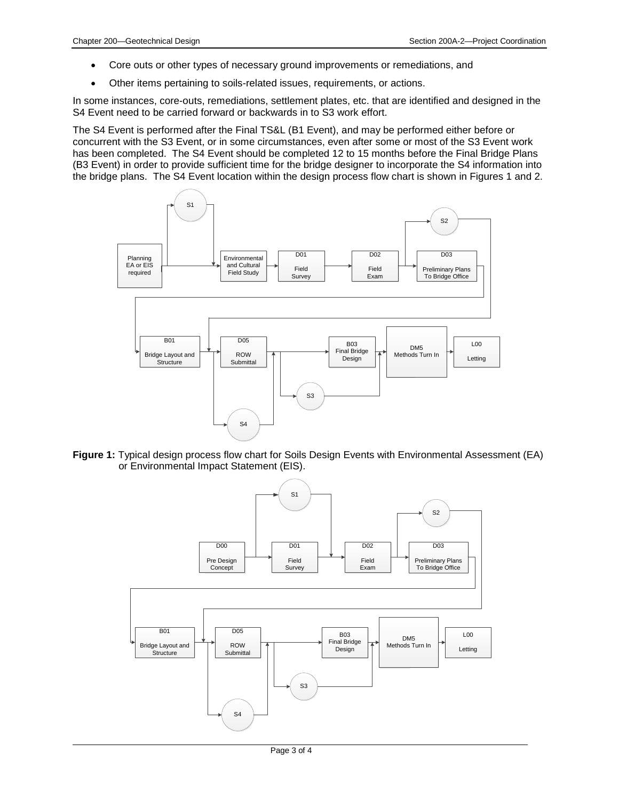- Core outs or other types of necessary ground improvements or remediations, and
- Other items pertaining to soils-related issues, requirements, or actions.

In some instances, core-outs, remediations, settlement plates, etc. that are identified and designed in the S4 Event need to be carried forward or backwards in to S3 work effort.

The S4 Event is performed after the Final TS&L (B1 Event), and may be performed either before or concurrent with the S3 Event, or in some circumstances, even after some or most of the S3 Event work has been completed. The S4 Event should be completed 12 to 15 months before the Final Bridge Plans (B3 Event) in order to provide sufficient time for the bridge designer to incorporate the S4 information into the bridge plans. The S4 Event location within the design process flow chart is shown in Figures 1 and 2.



**Figure 1:** Typical design process flow chart for Soils Design Events with Environmental Assessment (EA) or Environmental Impact Statement (EIS).

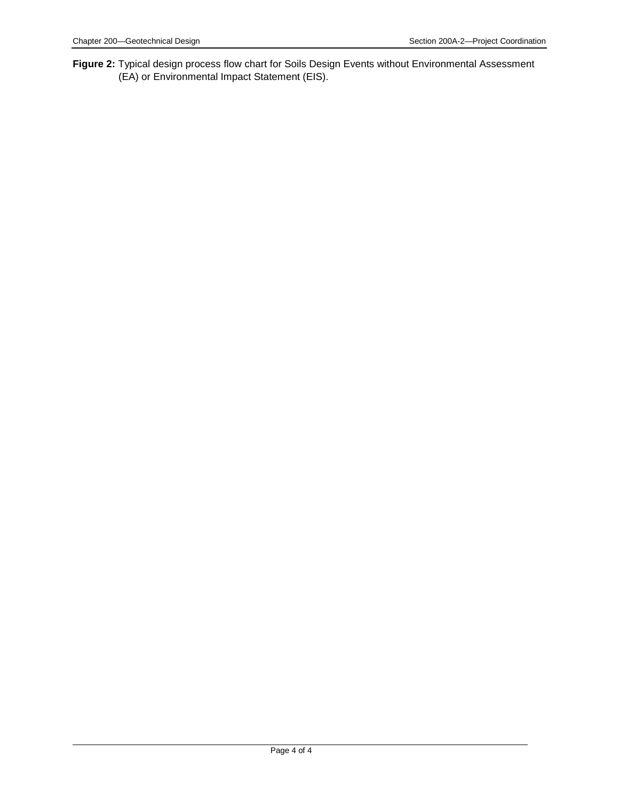**Figure 2:** Typical design process flow chart for Soils Design Events without Environmental Assessment (EA) or Environmental Impact Statement (EIS).